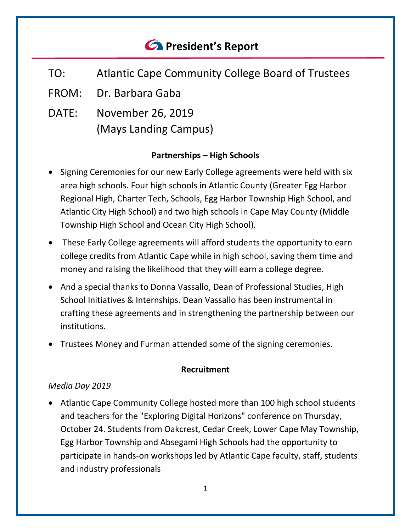# *<u>C* President's Report</u>

- TO: Atlantic Cape Community College Board of Trustees
- FROM: Dr. Barbara Gaba
- DATE: November 26, 2019 (Mays Landing Campus)

# **Partnerships – High Schools**

- Signing Ceremonies for our new Early College agreements were held with six area high schools. Four high schools in Atlantic County (Greater Egg Harbor Regional High, Charter Tech, Schools, Egg Harbor Township High School, and Atlantic City High School) and two high schools in Cape May County (Middle Township High School and Ocean City High School).
- These Early College agreements will afford students the opportunity to earn college credits from Atlantic Cape while in high school, saving them time and money and raising the likelihood that they will earn a college degree.
- And a special thanks to Donna Vassallo, Dean of Professional Studies, High School Initiatives & Internships. Dean Vassallo has been instrumental in crafting these agreements and in strengthening the partnership between our institutions.
- Trustees Money and Furman attended some of the signing ceremonies.

## **Recruitment**

# *Media Day 2019*

• Atlantic Cape Community College hosted more than 100 high school students and teachers for the "Exploring Digital Horizons" conference on Thursday, October 24. Students from Oakcrest, Cedar Creek, Lower Cape May Township, Egg Harbor Township and Absegami High Schools had the opportunity to participate in hands-on workshops led by Atlantic Cape faculty, staff, students and industry professionals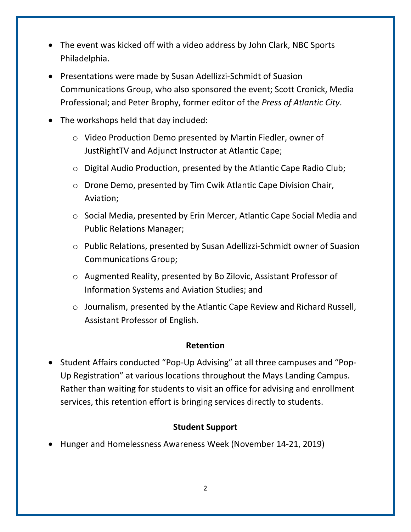- The event was kicked off with a video address by John Clark, NBC Sports Philadelphia.
- Presentations were made by Susan Adellizzi-Schmidt of Suasion Communications Group, who also sponsored the event; Scott Cronick, Media Professional; and Peter Brophy, former editor of the *Press of Atlantic City*.
- The workshops held that day included:
	- o Video Production Demo presented by Martin Fiedler, owner of JustRightTV and Adjunct Instructor at Atlantic Cape;
	- o Digital Audio Production, presented by the Atlantic Cape Radio Club;
	- o Drone Demo, presented by Tim Cwik Atlantic Cape Division Chair, Aviation;
	- o Social Media, presented by Erin Mercer, Atlantic Cape Social Media and Public Relations Manager;
	- o Public Relations, presented by Susan Adellizzi-Schmidt owner of Suasion Communications Group;
	- o Augmented Reality, presented by Bo Zilovic, Assistant Professor of Information Systems and Aviation Studies; and
	- o Journalism, presented by the Atlantic Cape Review and Richard Russell, Assistant Professor of English.

#### **Retention**

• Student Affairs conducted "Pop-Up Advising" at all three campuses and "Pop-Up Registration" at various locations throughout the Mays Landing Campus. Rather than waiting for students to visit an office for advising and enrollment services, this retention effort is bringing services directly to students.

# **Student Support**

• Hunger and Homelessness Awareness Week (November 14-21, 2019)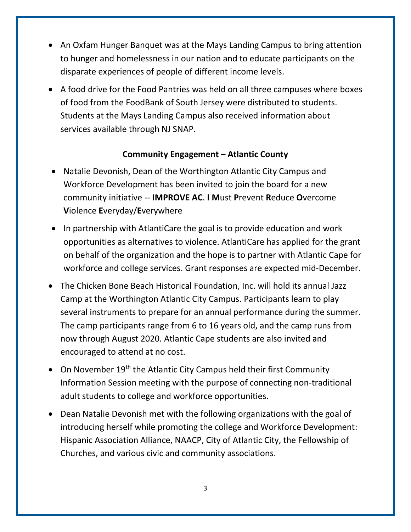- An Oxfam Hunger Banquet was at the Mays Landing Campus to bring attention to hunger and homelessness in our nation and to educate participants on the disparate experiences of people of different income levels.
- A food drive for the Food Pantries was held on all three campuses where boxes of food from the FoodBank of South Jersey were distributed to students. Students at the Mays Landing Campus also received information about services available through NJ SNAP.

# **Community Engagement – Atlantic County**

- Natalie Devonish, Dean of the Worthington Atlantic City Campus and Workforce Development has been invited to join the board for a new community initiative -- **IMPROVE AC**. **I M**ust **P**revent **R**educe **O**vercome **V**iolence **E**veryday/**E**verywhere
- In partnership with AtlantiCare the goal is to provide education and work opportunities as alternatives to violence. AtlantiCare has applied for the grant on behalf of the organization and the hope is to partner with Atlantic Cape for workforce and college services. Grant responses are expected mid-December.
- The Chicken Bone Beach Historical Foundation, Inc. will hold its annual Jazz Camp at the Worthington Atlantic City Campus. Participants learn to play several instruments to prepare for an annual performance during the summer. The camp participants range from 6 to 16 years old, and the camp runs from now through August 2020. Atlantic Cape students are also invited and encouraged to attend at no cost.
- On November  $19<sup>th</sup>$  the Atlantic City Campus held their first Community Information Session meeting with the purpose of connecting non-traditional adult students to college and workforce opportunities.
- Dean Natalie Devonish met with the following organizations with the goal of introducing herself while promoting the college and Workforce Development: Hispanic Association Alliance, NAACP, City of Atlantic City, the Fellowship of Churches, and various civic and community associations.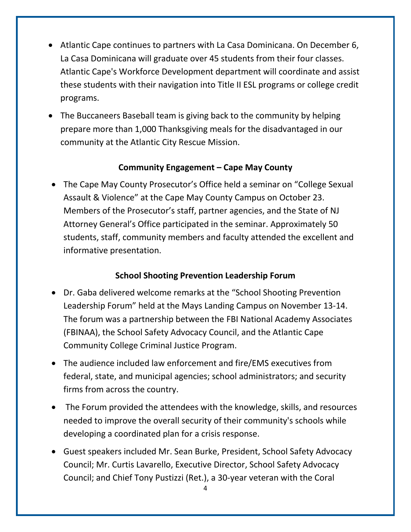- Atlantic Cape continues to partners with La Casa Dominicana. On December 6, La Casa Dominicana will graduate over 45 students from their four classes. Atlantic Cape's Workforce Development department will coordinate and assist these students with their navigation into Title II ESL programs or college credit programs.
- The Buccaneers Baseball team is giving back to the community by helping prepare more than 1,000 Thanksgiving meals for the disadvantaged in our community at the Atlantic City Rescue Mission.

#### **Community Engagement – Cape May County**

• The Cape May County Prosecutor's Office held a seminar on "College Sexual Assault & Violence" at the Cape May County Campus on October 23. Members of the Prosecutor's staff, partner agencies, and the State of NJ Attorney General's Office participated in the seminar. Approximately 50 students, staff, community members and faculty attended the excellent and informative presentation.

#### **School Shooting Prevention Leadership Forum**

- Dr. Gaba delivered welcome remarks at the "School Shooting Prevention Leadership Forum" held at the Mays Landing Campus on November 13-14. The forum was a partnership between the FBI National Academy Associates (FBINAA), the School Safety Advocacy Council, and the Atlantic Cape Community College Criminal Justice Program.
- The audience included law enforcement and fire/EMS executives from federal, state, and municipal agencies; school administrators; and security firms from across the country.
- The Forum provided the attendees with the knowledge, skills, and resources needed to improve the overall security of their community's schools while developing a coordinated plan for a crisis response.
- Guest speakers included Mr. Sean Burke, President, School Safety Advocacy Council; Mr. Curtis Lavarello, Executive Director, School Safety Advocacy Council; and Chief Tony Pustizzi (Ret.), a 30-year veteran with the Coral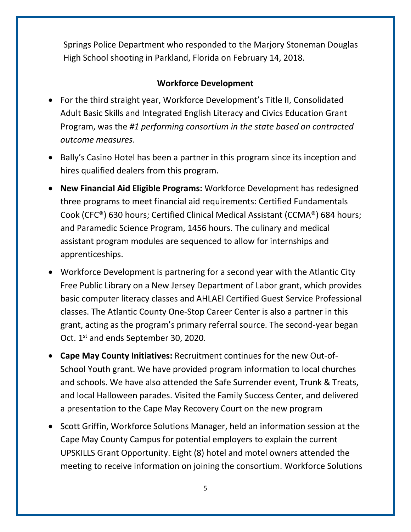Springs Police Department who responded to the Marjory Stoneman Douglas High School shooting in Parkland, Florida on February 14, 2018.

## **Workforce Development**

- For the third straight year, Workforce Development's Title II, Consolidated Adult Basic Skills and Integrated English Literacy and Civics Education Grant Program, was the *#1 performing consortium in the state based on contracted outcome measures*.
- Bally's Casino Hotel has been a partner in this program since its inception and hires qualified dealers from this program.
- **New Financial Aid Eligible Programs:** Workforce Development has redesigned three programs to meet financial aid requirements: Certified Fundamentals Cook (CFC®) 630 hours; Certified Clinical Medical Assistant (CCMA®) 684 hours; and Paramedic Science Program, 1456 hours. The culinary and medical assistant program modules are sequenced to allow for internships and apprenticeships.
- Workforce Development is partnering for a second year with the Atlantic City Free Public Library on a New Jersey Department of Labor grant, which provides basic computer literacy classes and AHLAEI Certified Guest Service Professional classes. The Atlantic County One-Stop Career Center is also a partner in this grant, acting as the program's primary referral source. The second-year began Oct. 1<sup>st</sup> and ends September 30, 2020.
- **Cape May County Initiatives:** Recruitment continues for the new Out-of-School Youth grant. We have provided program information to local churches and schools. We have also attended the Safe Surrender event, Trunk & Treats, and local Halloween parades. Visited the Family Success Center, and delivered a presentation to the Cape May Recovery Court on the new program
- Scott Griffin, Workforce Solutions Manager, held an information session at the Cape May County Campus for potential employers to explain the current UPSKILLS Grant Opportunity. Eight (8) hotel and motel owners attended the meeting to receive information on joining the consortium. Workforce Solutions